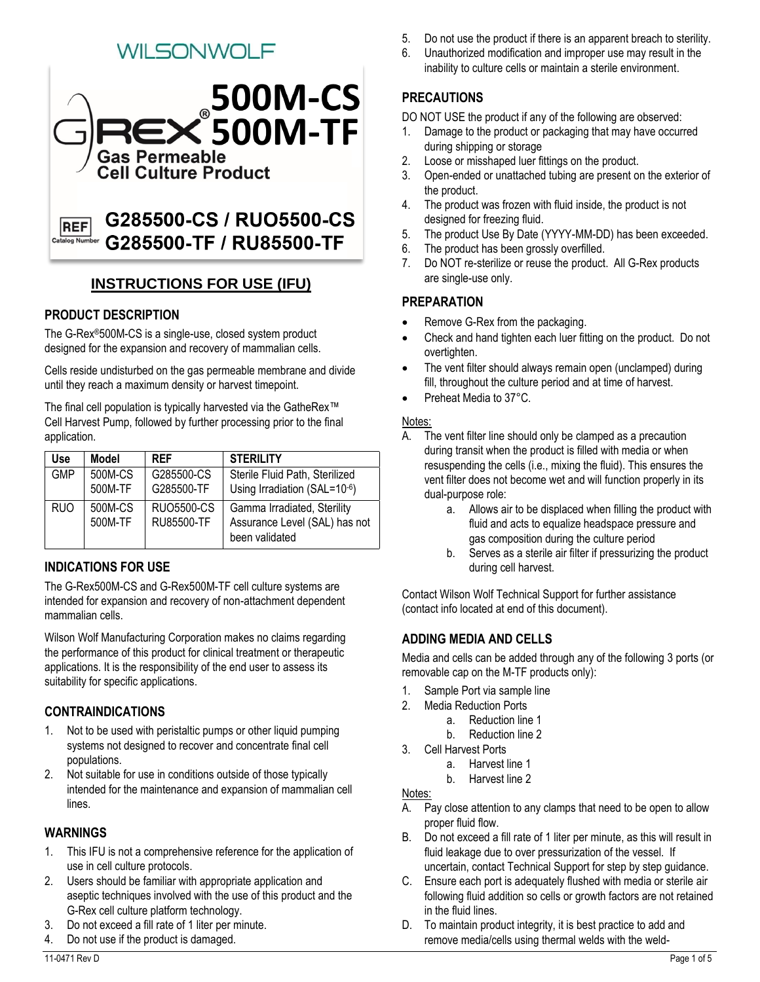# WILSONWOLF



#### G285500-TF / RU85500-TF **Catalog Num**

## **INSTRUCTIONS FOR USE (IFU)**

#### **PRODUCT DESCRIPTION**

The G-Rex®500M-CS is a single-use, closed system product designed for the expansion and recovery of mammalian cells.

Cells reside undisturbed on the gas permeable membrane and divide until they reach a maximum density or harvest timepoint.

The final cell population is typically harvested via the GatheRex™ Cell Harvest Pump, followed by further processing prior to the final application.

| <b>Use</b> | <b>Model</b>       | <b>RFF</b>                             | <b>STERILITY</b>                                                               |
|------------|--------------------|----------------------------------------|--------------------------------------------------------------------------------|
| <b>GMP</b> | 500M-CS<br>500M-TF | G285500-CS<br>G285500-TF               | Sterile Fluid Path, Sterilized<br>Using Irradiation (SAL= $10^{-6}$ )          |
| <b>RUO</b> | 500M-CS<br>500M-TF | <b>RUO5500-CS</b><br><b>RU85500-TF</b> | Gamma Irradiated, Sterility<br>Assurance Level (SAL) has not<br>been validated |

#### **INDICATIONS FOR USE**

The G-Rex500M-CS and G-Rex500M-TF cell culture systems are intended for expansion and recovery of non-attachment dependent mammalian cells.

Wilson Wolf Manufacturing Corporation makes no claims regarding the performance of this product for clinical treatment or therapeutic applications. It is the responsibility of the end user to assess its suitability for specific applications.

#### **CONTRAINDICATIONS**

- 1. Not to be used with peristaltic pumps or other liquid pumping systems not designed to recover and concentrate final cell populations.
- 2. Not suitable for use in conditions outside of those typically intended for the maintenance and expansion of mammalian cell lines.

#### **WARNINGS**

- 1. This IFU is not a comprehensive reference for the application of use in cell culture protocols.
- 2. Users should be familiar with appropriate application and aseptic techniques involved with the use of this product and the G-Rex cell culture platform technology.
- 3. Do not exceed a fill rate of 1 liter per minute.
- 4. Do not use if the product is damaged.
- 5. Do not use the product if there is an apparent breach to sterility.
- 6. Unauthorized modification and improper use may result in the inability to culture cells or maintain a sterile environment.

# **PRECAUTIONS**

DO NOT USE the product if any of the following are observed:

- 1. Damage to the product or packaging that may have occurred during shipping or storage
- 2. Loose or misshaped luer fittings on the product.
- 3. Open-ended or unattached tubing are present on the exterior of the product.
- 4. The product was frozen with fluid inside, the product is not designed for freezing fluid.
- 5. The product Use By Date (YYYY-MM-DD) has been exceeded.
- 6. The product has been grossly overfilled.
- 7. Do NOT re-sterilize or reuse the product. All G-Rex products are single-use only.

## **PREPARATION**

- Remove G-Rex from the packaging.
- Check and hand tighten each luer fitting on the product. Do not overtighten.
- The vent filter should always remain open (unclamped) during fill, throughout the culture period and at time of harvest.
- Preheat Media to 37°C.

#### Notes:

- A. The vent filter line should only be clamped as a precaution during transit when the product is filled with media or when resuspending the cells (i.e., mixing the fluid). This ensures the vent filter does not become wet and will function properly in its dual-purpose role:
	- a. Allows air to be displaced when filling the product with fluid and acts to equalize headspace pressure and gas composition during the culture period
	- b. Serves as a sterile air filter if pressurizing the product during cell harvest.

Contact Wilson Wolf Technical Support for further assistance (contact info located at end of this document).

## **ADDING MEDIA AND CELLS**

Media and cells can be added through any of the following 3 ports (or removable cap on the M-TF products only):

- 1. Sample Port via sample line
- 2. Media Reduction Ports
	- a. Reduction line 1
	- b. Reduction line 2
- 3. Cell Harvest Ports
	- a. Harvest line 1
	- b. Harvest line 2

Notes:

- A. Pay close attention to any clamps that need to be open to allow proper fluid flow.
- B. Do not exceed a fill rate of 1 liter per minute, as this will result in fluid leakage due to over pressurization of the vessel. If uncertain, contact Technical Support for step by step guidance.
- C. Ensure each port is adequately flushed with media or sterile air following fluid addition so cells or growth factors are not retained in the fluid lines.
- D. To maintain product integrity, it is best practice to add and remove media/cells using thermal welds with the weld-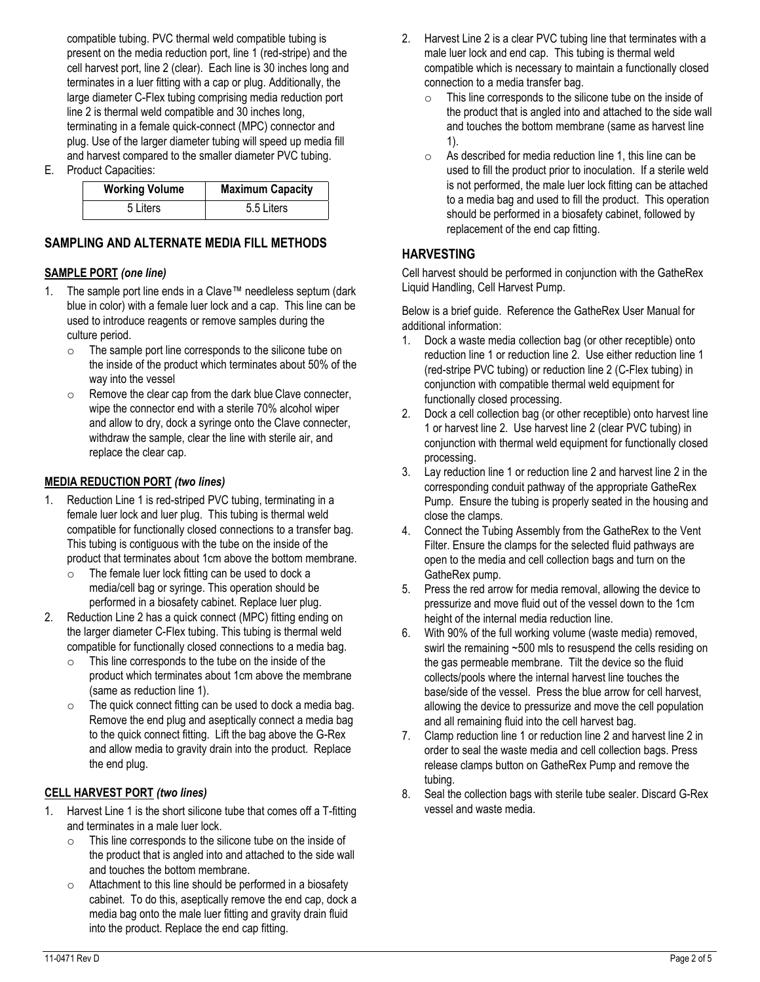compatible tubing. PVC thermal weld compatible tubing is present on the media reduction port, line 1 (red-stripe) and the cell harvest port, line 2 (clear). Each line is 30 inches long and terminates in a luer fitting with a cap or plug. Additionally, the large diameter C-Flex tubing comprising media reduction port line 2 is thermal weld compatible and 30 inches long, terminating in a female quick-connect (MPC) connector and plug. Use of the larger diameter tubing will speed up media fill and harvest compared to the smaller diameter PVC tubing.

E. Product Capacities:

| <b>Working Volume</b> | <b>Maximum Capacity</b> |
|-----------------------|-------------------------|
| 5 Liters              | 5.5 Liters              |

#### **SAMPLING AND ALTERNATE MEDIA FILL METHODS**

#### **SAMPLE PORT** *(one line)*

- 1. The sample port line ends in a Clave™ needleless septum (dark blue in color) with a female luer lock and a cap. This line can be used to introduce reagents or remove samples during the culture period.
	- o The sample port line corresponds to the silicone tube on the inside of the product which terminates about 50% of the way into the vessel
	- o Remove the clear cap from the dark blue Clave connecter, wipe the connector end with a sterile 70% alcohol wiper and allow to dry, dock a syringe onto the Clave connecter, withdraw the sample, clear the line with sterile air, and replace the clear cap.

#### **MEDIA REDUCTION PORT** *(two lines)*

- 1. Reduction Line 1 is red-striped PVC tubing, terminating in a female luer lock and luer plug. This tubing is thermal weld compatible for functionally closed connections to a transfer bag. This tubing is contiguous with the tube on the inside of the product that terminates about 1cm above the bottom membrane.
	- $\circ$  The female luer lock fitting can be used to dock a media/cell bag or syringe. This operation should be performed in a biosafety cabinet. Replace luer plug.
- 2. Reduction Line 2 has a quick connect (MPC) fitting ending on the larger diameter C-Flex tubing. This tubing is thermal weld compatible for functionally closed connections to a media bag.
	- o This line corresponds to the tube on the inside of the product which terminates about 1cm above the membrane (same as reduction line 1).
	- $\circ$  The quick connect fitting can be used to dock a media bag. Remove the end plug and aseptically connect a media bag to the quick connect fitting. Lift the bag above the G-Rex and allow media to gravity drain into the product. Replace the end plug.

#### **CELL HARVEST PORT** *(two lines)*

- 1. Harvest Line 1 is the short silicone tube that comes off a T-fitting and terminates in a male luer lock.
	- o This line corresponds to the silicone tube on the inside of the product that is angled into and attached to the side wall and touches the bottom membrane.
	- o Attachment to this line should be performed in a biosafety cabinet. To do this, aseptically remove the end cap, dock a media bag onto the male luer fitting and gravity drain fluid into the product. Replace the end cap fitting.
- 2. Harvest Line 2 is a clear PVC tubing line that terminates with a male luer lock and end cap. This tubing is thermal weld compatible which is necessary to maintain a functionally closed connection to a media transfer bag.
	- o This line corresponds to the silicone tube on the inside of the product that is angled into and attached to the side wall and touches the bottom membrane (same as harvest line 1).
	- o As described for media reduction line 1, this line can be used to fill the product prior to inoculation. If a sterile weld is not performed, the male luer lock fitting can be attached to a media bag and used to fill the product. This operation should be performed in a biosafety cabinet, followed by replacement of the end cap fitting.

#### **HARVESTING**

Cell harvest should be performed in conjunction with the GatheRex Liquid Handling, Cell Harvest Pump.

Below is a brief guide. Reference the GatheRex User Manual for additional information:

- 1. Dock a waste media collection bag (or other receptible) onto reduction line 1 or reduction line 2. Use either reduction line 1 (red-stripe PVC tubing) or reduction line 2 (C-Flex tubing) in conjunction with compatible thermal weld equipment for functionally closed processing.
- 2. Dock a cell collection bag (or other receptible) onto harvest line 1 or harvest line 2. Use harvest line 2 (clear PVC tubing) in conjunction with thermal weld equipment for functionally closed processing.
- 3. Lay reduction line 1 or reduction line 2 and harvest line 2 in the corresponding conduit pathway of the appropriate GatheRex Pump. Ensure the tubing is properly seated in the housing and close the clamps.
- 4. Connect the Tubing Assembly from the GatheRex to the Vent Filter. Ensure the clamps for the selected fluid pathways are open to the media and cell collection bags and turn on the GatheRex pump.
- 5. Press the red arrow for media removal, allowing the device to pressurize and move fluid out of the vessel down to the 1cm height of the internal media reduction line.
- 6. With 90% of the full working volume (waste media) removed, swirl the remaining ~500 mls to resuspend the cells residing on the gas permeable membrane. Tilt the device so the fluid collects/pools where the internal harvest line touches the base/side of the vessel. Press the blue arrow for cell harvest, allowing the device to pressurize and move the cell population and all remaining fluid into the cell harvest bag.
- 7. Clamp reduction line 1 or reduction line 2 and harvest line 2 in order to seal the waste media and cell collection bags. Press release clamps button on GatheRex Pump and remove the tubing.
- 8. Seal the collection bags with sterile tube sealer. Discard G-Rex vessel and waste media.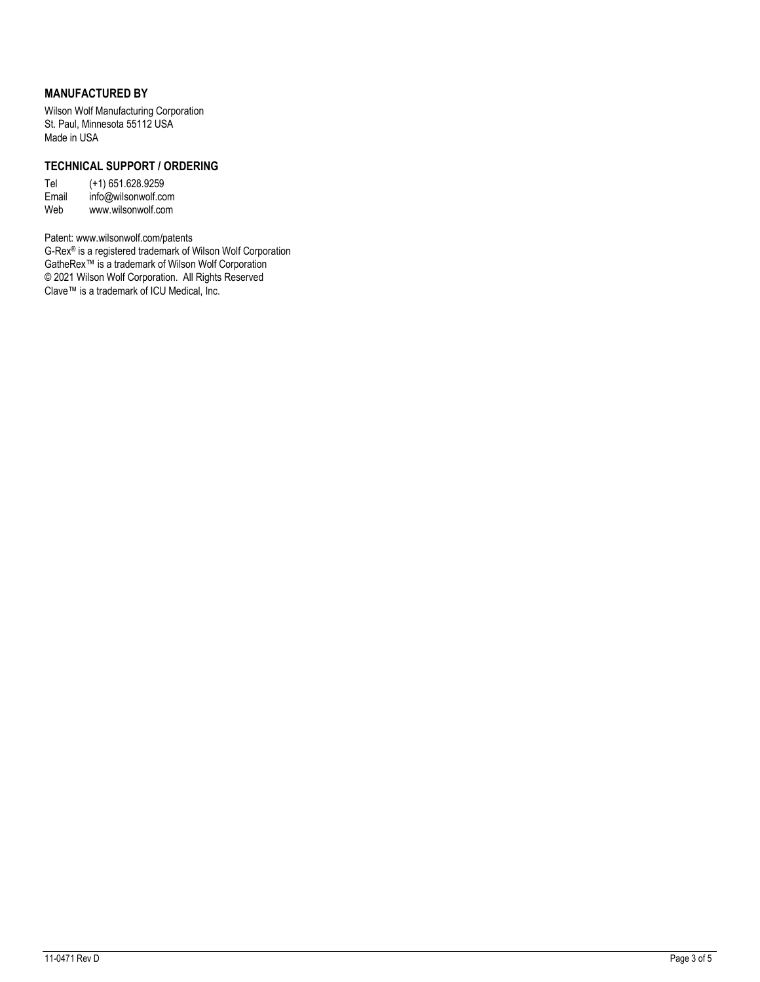#### **MANUFACTURED BY**

Wilson Wolf Manufacturing Corporation St. Paul, Minnesota 55112 USA Made in USA

#### **TECHNICAL SUPPORT / ORDERING**

Tel (+1) 651.628.9259 Email info@wilsonwolf.com Web www.wilsonwolf.com

Patent: www.wilsonwolf.com/patents G-Rex® is a registered trademark of Wilson Wolf Corporation GatheRex™ is a trademark of Wilson Wolf Corporation © 2021 Wilson Wolf Corporation. All Rights Reserved Clave™ is a trademark of ICU Medical, Inc.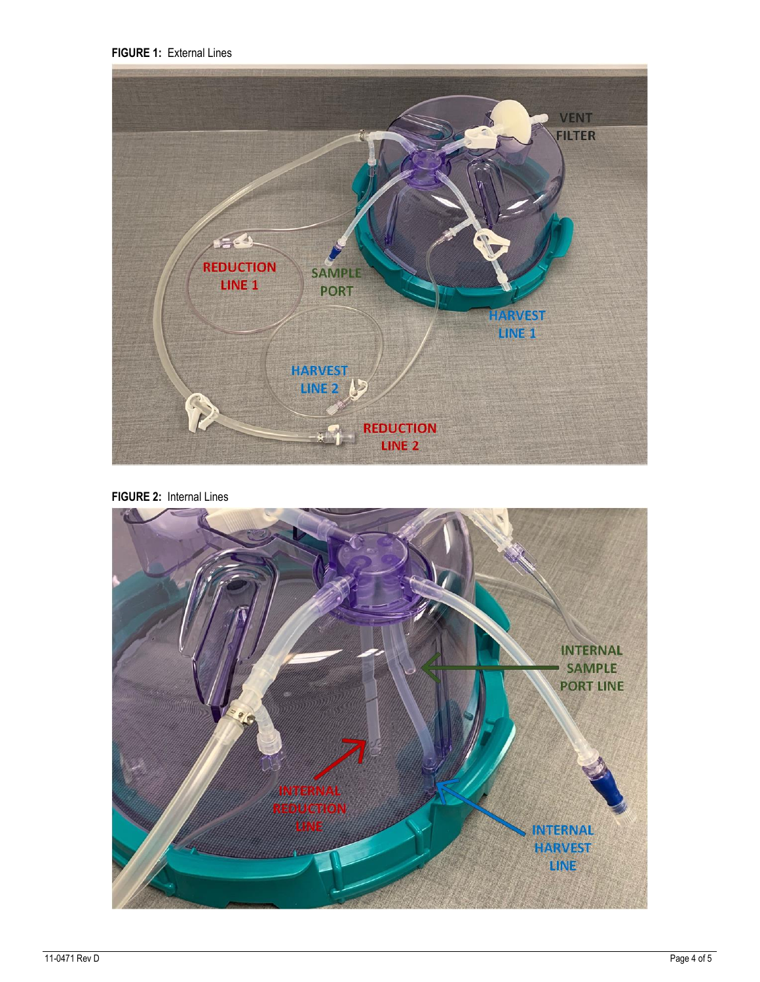**FIGURE 1:** External Lines



**FIGURE 2:** Internal Lines